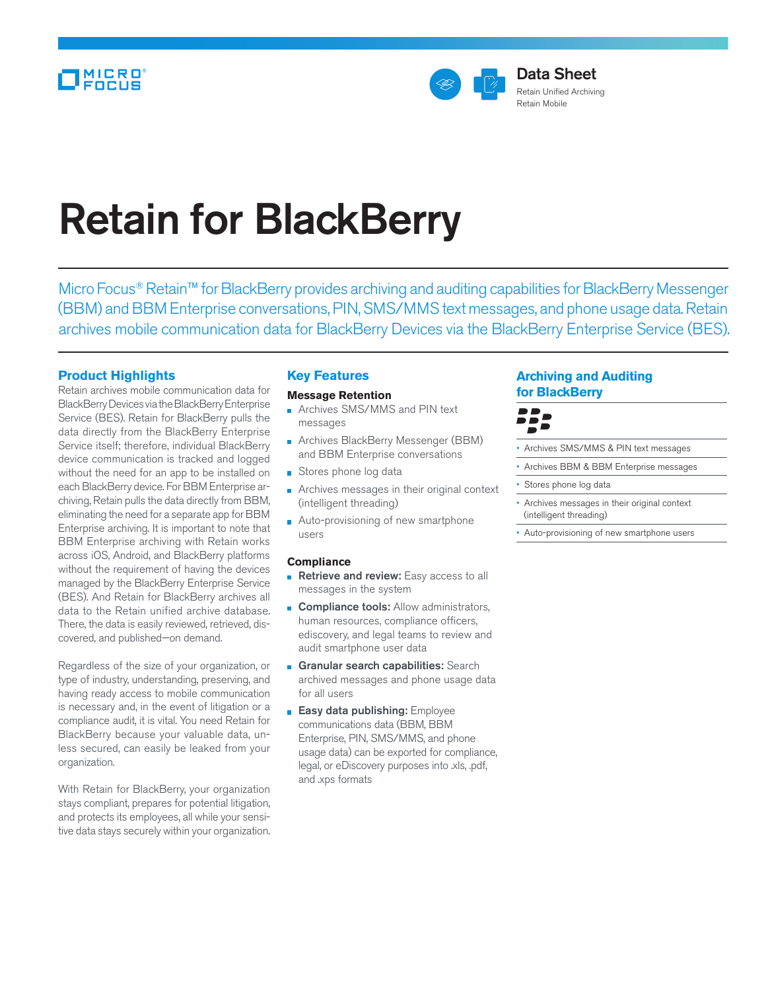

# Retain for BlackBerry

Micro Focus<sup>®</sup> Retain™ for BlackBerry provides archiving and auditing capabilities for BlackBerry Messenger (BBM) and BBM Enterprise conversations, PIN, SMS/MMS text messages, and phone usage data. Retain archives mobile communication data for BlackBerry Devices via the BlackBerry Enterprise Service (BES).

# **Product Highlights**

Retain archives mobile communication data for BlackBerry Devices via the BlackBerry Enterprise Service (BES). Retain for BlackBerry pulls the data directly from the BlackBerry Enterprise Service itself; therefore, individual BlackBerry device communication is tracked and logged without the need for an app to be installed on each BlackBerry device. For BBM Enterprise archiving, Retain pulls the data directly from BBM, eliminating the need for a separate app for BBM Enterprise archiving. It is important to note that BBM Enterprise archiving with Retain works across iOS, Android, and BlackBerry platforms without the requirement of having the devices managed by the BlackBerry Enterprise Service (BES). And Retain for BlackBerry archives all data to the Retain unified archive database. There, the data is easily reviewed, retrieved, discovered, and published—on demand.

Regardless of the size of your organization, or type of industry, understanding, preserving, and having ready access to mobile communication is necessary and, in the event of litigation or a compliance audit, it is vital. You need Retain for BlackBerry because your valuable data, unless secured, can easily be leaked from your organization.

With Retain for BlackBerry, your organization stays compliant, prepares for potential litigation, and protects its employees, all while your sensitive data stays securely within your organization.

# **Key Features**

**Message Retention Archives SMS/MMS and PIN text** 

- messages
- **Archives BlackBerry Messenger (BBM)** and BBM Enterprise conversations
- Stores phone log data
- Archives messages in their original context (intelligent threading)
- Auto-provisioning of new smartphone users

### **Compliance**

- Retrieve and review: Easy access to all messages in the system
- **Compliance tools:** Allow administrators, human resources, compliance officers, ediscovery, and legal teams to review and audit smartphone user data
- **Granular search capabilities:** Search archived messages and phone usage data for all users
- **Easy data publishing:** Employee communications data (BBM, BBM Enterprise, PIN, SMS/MMS, and phone usage data) can be exported for compliance, legal, or eDiscovery purposes into .xls, .pdf, and .xps formats

# **Archiving and Auditing for BlackBerry**



- Archives SMS/MMS & PIN text messages
- Archives BBM & BBM Enterprise messages
- Stores phone log data
- Archives messages in their original context (intelligent threading)
- Auto-provisioning of new smartphone users